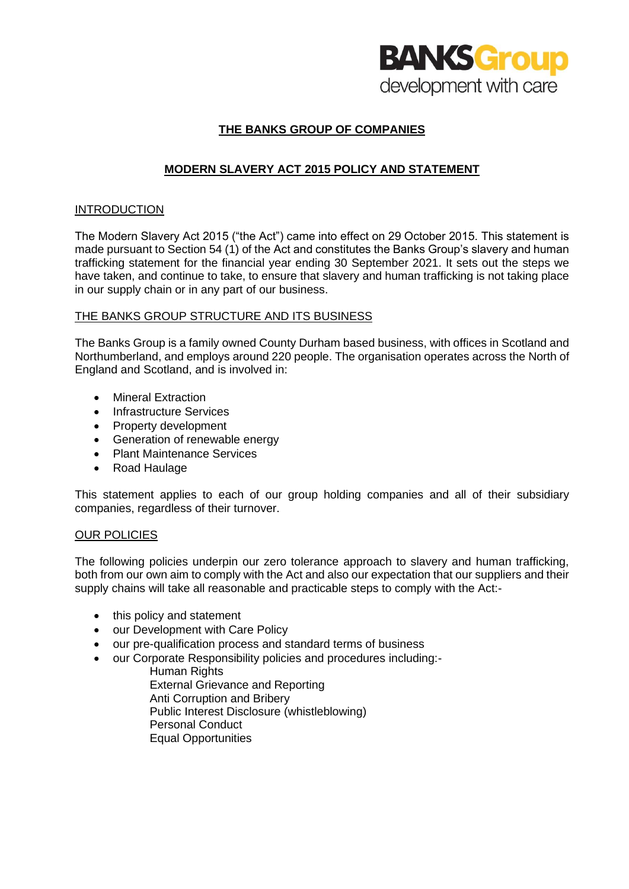

# **THE BANKS GROUP OF COMPANIES**

# **MODERN SLAVERY ACT 2015 POLICY AND STATEMENT**

## INTRODUCTION

The Modern Slavery Act 2015 ("the Act") came into effect on 29 October 2015. This statement is made pursuant to Section 54 (1) of the Act and constitutes the Banks Group's slavery and human trafficking statement for the financial year ending 30 September 2021. It sets out the steps we have taken, and continue to take, to ensure that slavery and human trafficking is not taking place in our supply chain or in any part of our business.

## THE BANKS GROUP STRUCTURE AND ITS BUSINESS

The Banks Group is a family owned County Durham based business, with offices in Scotland and Northumberland, and employs around 220 people. The organisation operates across the North of England and Scotland, and is involved in:

- Mineral Extraction
- Infrastructure Services
- Property development
- Generation of renewable energy
- Plant Maintenance Services
- Road Haulage

This statement applies to each of our group holding companies and all of their subsidiary companies, regardless of their turnover.

## OUR POLICIES

The following policies underpin our zero tolerance approach to slavery and human trafficking. both from our own aim to comply with the Act and also our expectation that our suppliers and their supply chains will take all reasonable and practicable steps to comply with the Act:-

- this policy and statement
- our Development with Care Policy
- our pre-qualification process and standard terms of business
- our Corporate Responsibility policies and procedures including:-
	- **Human Rights** External Grievance and Reporting Anti Corruption and Bribery Public Interest Disclosure (whistleblowing) Personal Conduct Equal Opportunities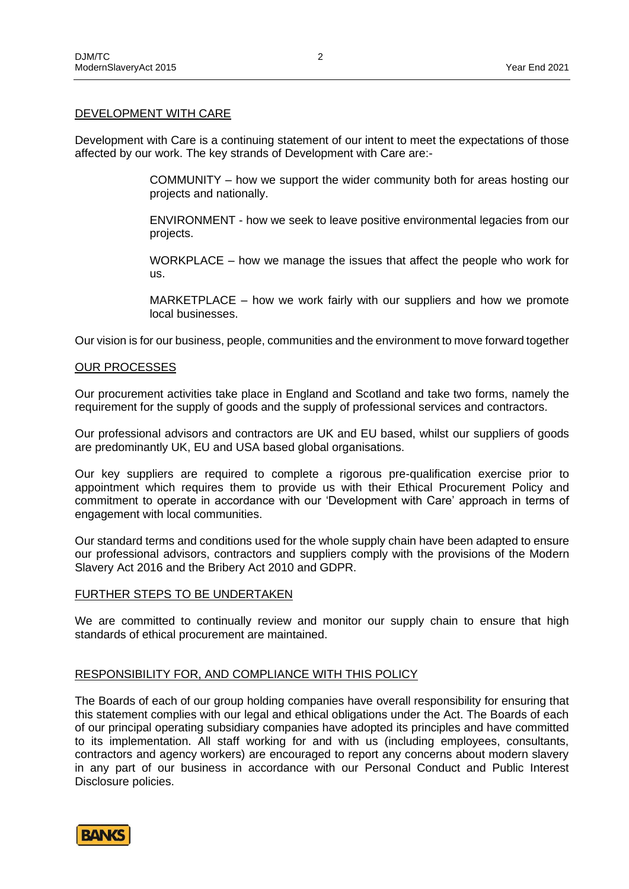### DEVELOPMENT WITH CARE

Development with Care is a continuing statement of our intent to meet the expectations of those affected by our work. The key strands of Development with Care are:-

> COMMUNITY – how we support the wider community both for areas hosting our projects and nationally.

> ENVIRONMENT - how we seek to leave positive environmental legacies from our projects.

> WORKPLACE – how we manage the issues that affect the people who work for us.

> MARKETPLACE – how we work fairly with our suppliers and how we promote local businesses.

Our vision is for our business, people, communities and the environment to move forward together

#### OUR PROCESSES

Our procurement activities take place in England and Scotland and take two forms, namely the requirement for the supply of goods and the supply of professional services and contractors.

Our professional advisors and contractors are UK and EU based, whilst our suppliers of goods are predominantly UK, EU and USA based global organisations.

Our key suppliers are required to complete a rigorous pre-qualification exercise prior to appointment which requires them to provide us with their Ethical Procurement Policy and commitment to operate in accordance with our 'Development with Care' approach in terms of engagement with local communities.

Our standard terms and conditions used for the whole supply chain have been adapted to ensure our professional advisors, contractors and suppliers comply with the provisions of the Modern Slavery Act 2016 and the Bribery Act 2010 and GDPR.

## FURTHER STEPS TO BE UNDERTAKEN

We are committed to continually review and monitor our supply chain to ensure that high standards of ethical procurement are maintained.

### RESPONSIBILITY FOR, AND COMPLIANCE WITH THIS POLICY

The Boards of each of our group holding companies have overall responsibility for ensuring that this statement complies with our legal and ethical obligations under the Act. The Boards of each of our principal operating subsidiary companies have adopted its principles and have committed to its implementation. All staff working for and with us (including employees, consultants, contractors and agency workers) are encouraged to report any concerns about modern slavery in any part of our business in accordance with our Personal Conduct and Public Interest Disclosure policies.

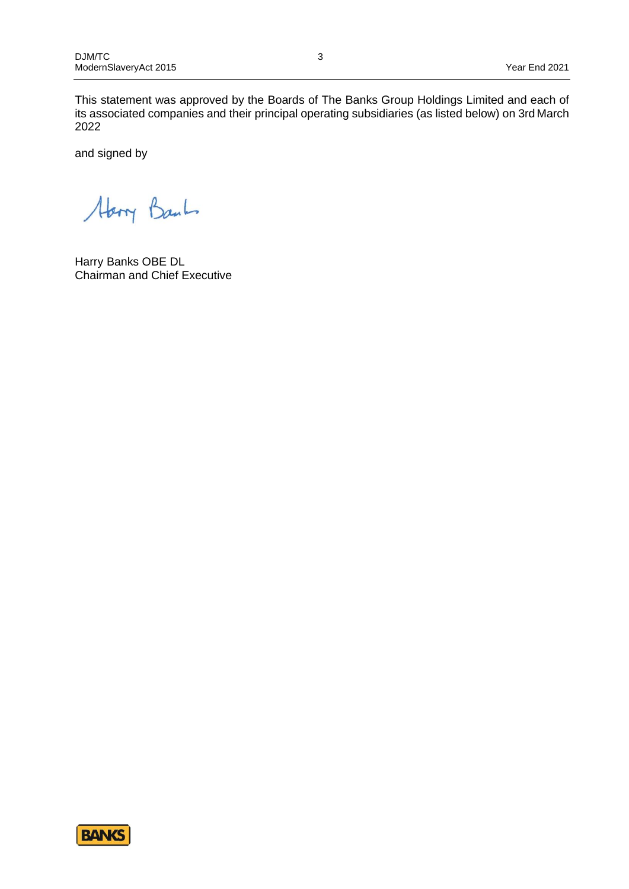This statement was approved by the Boards of The Banks Group Holdings Limited and each of its associated companies and their principal operating subsidiaries (as listed below) on 3rd March 2022

and signed by

Abory Bank

Harry Banks OBE DL Chairman and Chief Executive